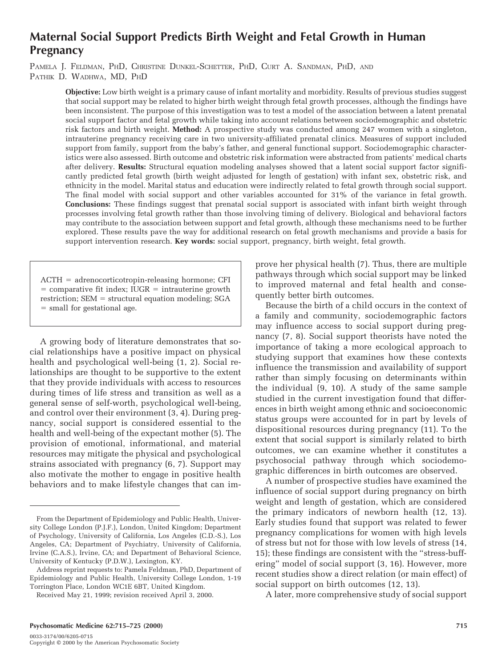# **Maternal Social Support Predicts Birth Weight and Fetal Growth in Human Pregnancy**

PAMELA J. FELDMAN, PHD, CHRISTINE DUNKEL-SCHETTER, PHD, CURT A. SANDMAN, PHD, AND PATHIK D. WADHWA, MD, PHD

**Objective:** Low birth weight is a primary cause of infant mortality and morbidity. Results of previous studies suggest that social support may be related to higher birth weight through fetal growth processes, although the findings have been inconsistent. The purpose of this investigation was to test a model of the association between a latent prenatal social support factor and fetal growth while taking into account relations between sociodemographic and obstetric risk factors and birth weight. **Method:** A prospective study was conducted among 247 women with a singleton, intrauterine pregnancy receiving care in two university-affiliated prenatal clinics. Measures of support included support from family, support from the baby's father, and general functional support. Sociodemographic characteristics were also assessed. Birth outcome and obstetric risk information were abstracted from patients' medical charts after delivery. **Results:** Structural equation modeling analyses showed that a latent social support factor significantly predicted fetal growth (birth weight adjusted for length of gestation) with infant sex, obstetric risk, and ethnicity in the model. Marital status and education were indirectly related to fetal growth through social support. The final model with social support and other variables accounted for 31% of the variance in fetal growth. **Conclusions:** These findings suggest that prenatal social support is associated with infant birth weight through processes involving fetal growth rather than those involving timing of delivery. Biological and behavioral factors may contribute to the association between support and fetal growth, although these mechanisms need to be further explored. These results pave the way for additional research on fetal growth mechanisms and provide a basis for support intervention research. **Key words:** social support, pregnancy, birth weight, fetal growth.

 $ACTH = adrenocorticotropic.$  $=$  comparative fit index; IUGR  $=$  intrauterine growth restriction;  $SEM =$  structural equation modeling;  $SGA$  $=$  small for gestational age.

A growing body of literature demonstrates that social relationships have a positive impact on physical health and psychological well-being (1, 2). Social relationships are thought to be supportive to the extent that they provide individuals with access to resources during times of life stress and transition as well as a general sense of self-worth, psychological well-being, and control over their environment (3, 4). During pregnancy, social support is considered essential to the health and well-being of the expectant mother (5). The provision of emotional, informational, and material resources may mitigate the physical and psychological strains associated with pregnancy (6, 7). Support may also motivate the mother to engage in positive health behaviors and to make lifestyle changes that can improve her physical health (7). Thus, there are multiple pathways through which social support may be linked to improved maternal and fetal health and consequently better birth outcomes.

Because the birth of a child occurs in the context of a family and community, sociodemographic factors may influence access to social support during pregnancy (7, 8). Social support theorists have noted the importance of taking a more ecological approach to studying support that examines how these contexts influence the transmission and availability of support rather than simply focusing on determinants within the individual (9, 10). A study of the same sample studied in the current investigation found that differences in birth weight among ethnic and socioeconomic status groups were accounted for in part by levels of dispositional resources during pregnancy (11). To the extent that social support is similarly related to birth outcomes, we can examine whether it constitutes a psychosocial pathway through which sociodemographic differences in birth outcomes are observed.

A number of prospective studies have examined the influence of social support during pregnancy on birth weight and length of gestation, which are considered the primary indicators of newborn health (12, 13). Early studies found that support was related to fewer pregnancy complications for women with high levels of stress but not for those with low levels of stress (14, 15); these findings are consistent with the "stress-buffering" model of social support (3, 16). However, more recent studies show a direct relation (or main effect) of social support on birth outcomes (12, 13).

A later, more comprehensive study of social support

From the Department of Epidemiology and Public Health, University College London (P.J.F.), London, United Kingdom; Department of Psychology, University of California, Los Angeles (C.D.-S.), Los Angeles, CA; Department of Psychiatry, University of California, Irvine (C.A.S.), Irvine, CA; and Department of Behavioral Science, University of Kentucky (P.D.W.), Lexington, KY.

Address reprint requests to: Pamela Feldman, PhD, Department of Epidemiology and Public Health, University College London, 1-19 Torrington Place, London WC1E 6BT, United Kingdom.

Received May 21, 1999; revision received April 3, 2000.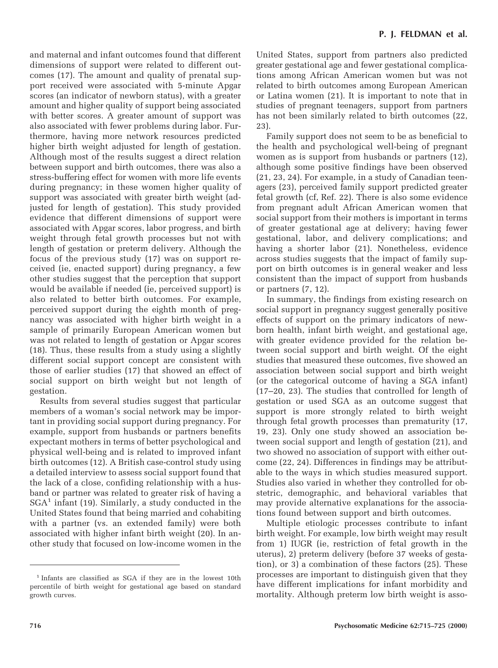and maternal and infant outcomes found that different dimensions of support were related to different outcomes (17). The amount and quality of prenatal support received were associated with 5-minute Apgar scores (an indicator of newborn status), with a greater amount and higher quality of support being associated with better scores. A greater amount of support was also associated with fewer problems during labor. Furthermore, having more network resources predicted higher birth weight adjusted for length of gestation. Although most of the results suggest a direct relation between support and birth outcomes, there was also a stress-buffering effect for women with more life events during pregnancy; in these women higher quality of support was associated with greater birth weight (adjusted for length of gestation). This study provided evidence that different dimensions of support were associated with Apgar scores, labor progress, and birth weight through fetal growth processes but not with length of gestation or preterm delivery. Although the focus of the previous study (17) was on support received (ie, enacted support) during pregnancy, a few other studies suggest that the perception that support would be available if needed (ie, perceived support) is also related to better birth outcomes. For example, perceived support during the eighth month of pregnancy was associated with higher birth weight in a sample of primarily European American women but was not related to length of gestation or Apgar scores (18). Thus, these results from a study using a slightly different social support concept are consistent with those of earlier studies (17) that showed an effect of social support on birth weight but not length of gestation.

Results from several studies suggest that particular members of a woman's social network may be important in providing social support during pregnancy. For example, support from husbands or partners benefits expectant mothers in terms of better psychological and physical well-being and is related to improved infant birth outcomes (12). A British case-control study using a detailed interview to assess social support found that the lack of a close, confiding relationship with a husband or partner was related to greater risk of having a  $SGA<sup>1</sup>$  infant (19). Similarly, a study conducted in the United States found that being married and cohabiting with a partner (vs. an extended family) were both associated with higher infant birth weight (20). In another study that focused on low-income women in the United States, support from partners also predicted greater gestational age and fewer gestational complications among African American women but was not related to birth outcomes among European American or Latina women (21). It is important to note that in studies of pregnant teenagers, support from partners has not been similarly related to birth outcomes (22, 23).

Family support does not seem to be as beneficial to the health and psychological well-being of pregnant women as is support from husbands or partners (12), although some positive findings have been observed (21, 23, 24). For example, in a study of Canadian teenagers (23), perceived family support predicted greater fetal growth (cf, Ref. 22). There is also some evidence from pregnant adult African American women that social support from their mothers is important in terms of greater gestational age at delivery; having fewer gestational, labor, and delivery complications; and having a shorter labor (21). Nonetheless, evidence across studies suggests that the impact of family support on birth outcomes is in general weaker and less consistent than the impact of support from husbands or partners (7, 12).

In summary, the findings from existing research on social support in pregnancy suggest generally positive effects of support on the primary indicators of newborn health, infant birth weight, and gestational age, with greater evidence provided for the relation between social support and birth weight. Of the eight studies that measured these outcomes, five showed an association between social support and birth weight (or the categorical outcome of having a SGA infant) (17–20, 23). The studies that controlled for length of gestation or used SGA as an outcome suggest that support is more strongly related to birth weight through fetal growth processes than prematurity (17, 19, 23). Only one study showed an association between social support and length of gestation (21), and two showed no association of support with either outcome (22, 24). Differences in findings may be attributable to the ways in which studies measured support. Studies also varied in whether they controlled for obstetric, demographic, and behavioral variables that may provide alternative explanations for the associations found between support and birth outcomes.

Multiple etiologic processes contribute to infant birth weight. For example, low birth weight may result from 1) IUGR (ie, restriction of fetal growth in the uterus), 2) preterm delivery (before 37 weeks of gestation), or 3) a combination of these factors (25). These processes are important to distinguish given that they have different implications for infant morbidity and mortality. Although preterm low birth weight is asso-

<sup>1</sup> Infants are classified as SGA if they are in the lowest 10th percentile of birth weight for gestational age based on standard growth curves.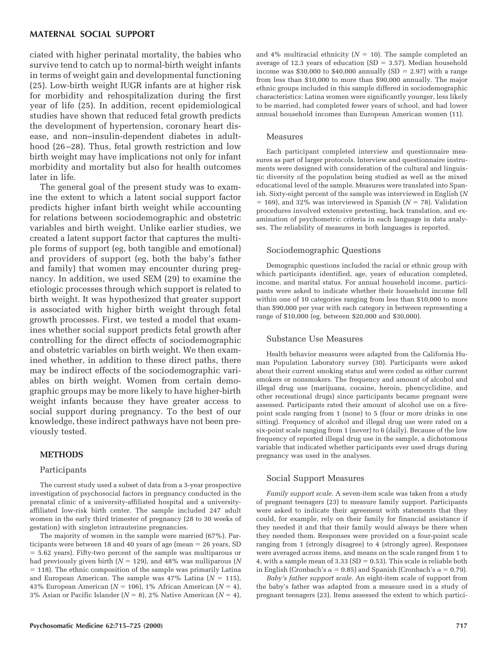## **MATERNAL SOCIAL SUPPORT**

ciated with higher perinatal mortality, the babies who survive tend to catch up to normal-birth weight infants in terms of weight gain and developmental functioning (25). Low-birth weight IUGR infants are at higher risk for morbidity and rehospitalization during the first year of life (25). In addition, recent epidemiological studies have shown that reduced fetal growth predicts the development of hypertension, coronary heart disease, and non–insulin-dependent diabetes in adulthood (26–28). Thus, fetal growth restriction and low birth weight may have implications not only for infant morbidity and mortality but also for health outcomes later in life.

The general goal of the present study was to examine the extent to which a latent social support factor predicts higher infant birth weight while accounting for relations between sociodemographic and obstetric variables and birth weight. Unlike earlier studies, we created a latent support factor that captures the multiple forms of support (eg, both tangible and emotional) and providers of support (eg, both the baby's father and family) that women may encounter during pregnancy. In addition, we used SEM (29) to examine the etiologic processes through which support is related to birth weight. It was hypothesized that greater support is associated with higher birth weight through fetal growth processes. First, we tested a model that examines whether social support predicts fetal growth after controlling for the direct effects of sociodemographic and obstetric variables on birth weight. We then examined whether, in addition to these direct paths, there may be indirect effects of the sociodemographic variables on birth weight. Women from certain demographic groups may be more likely to have higher-birth weight infants because they have greater access to social support during pregnancy. To the best of our knowledge, these indirect pathways have not been previously tested.

## **METHODS**

#### Participants

The current study used a subset of data from a 3-year prospective investigation of psychosocial factors in pregnancy conducted in the prenatal clinic of a university-affiliated hospital and a universityaffiliated low-risk birth center. The sample included 247 adult women in the early third trimester of pregnancy (28 to 30 weeks of gestation) with singleton intrauterine pregnancies.

The majority of women in the sample were married (67%). Participants were between 18 and 40 years of age (mean  $= 26$  years, SD 5 5.62 years). Fifty-two percent of the sample was multiparous or had previously given birth  $(N = 129)$ , and 48% was nulliparous (*N*  $=$  118). The ethnic composition of the sample was primarily Latina and European American. The sample was  $47\%$  Latina ( $N = 115$ ), 43% European American ( $N = 106$ ), 1% African American ( $N = 4$ ), 3% Asian or Pacific Islander ( $N = 8$ ), 2% Native American ( $N = 4$ ), and 4% multiracial ethnicity  $(N = 10)$ . The sample completed an average of 12.3 years of education (SD =  $3.57$ ). Median household income was \$30,000 to \$40,000 annually  $(SD = 2.97)$  with a range from less than \$10,000 to more than \$90,000 annually. The major ethnic groups included in this sample differed in sociodemographic characteristics: Latina women were significantly younger, less likely to be married, had completed fewer years of school, and had lower annual household incomes than European American women (11).

#### Measures

Each participant completed interview and questionnaire measures as part of larger protocols. Interview and questionnaire instruments were designed with consideration of the cultural and linguistic diversity of the population being studied as well as the mixed educational level of the sample. Measures were translated into Spanish. Sixty-eight percent of the sample was interviewed in English (*N*  $=$  169), and 32% was interviewed in Spanish ( $N = 78$ ). Validation procedures involved extensive pretesting, back translation, and examination of psychometric criteria in each language in data analyses. The reliability of measures in both languages is reported.

#### Sociodemographic Questions

Demographic questions included the racial or ethnic group with which participants identified, age, years of education completed, income, and marital status. For annual household income, participants were asked to indicate whether their household income fell within one of 10 categories ranging from less than \$10,000 to more than \$90,000 per year with each category in between representing a range of \$10,000 (eg, between \$20,000 and \$30,000).

#### Substance Use Measures

Health behavior measures were adapted from the California Human Population Laboratory survey (30). Participants were asked about their current smoking status and were coded as either current smokers or nonsmokers. The frequency and amount of alcohol and illegal drug use (marijuana, cocaine, heroin, phencyclidine, and other recreational drugs) since participants became pregnant were assessed. Participants rated their amount of alcohol use on a fivepoint scale ranging from 1 (none) to 5 (four or more drinks in one sitting). Frequency of alcohol and illegal drug use were rated on a six-point scale ranging from 1 (never) to 6 (daily). Because of the low frequency of reported illegal drug use in the sample, a dichotomous variable that indicated whether participants ever used drugs during pregnancy was used in the analyses.

#### Social Support Measures

*Family support scale.* A seven-item scale was taken from a study of pregnant teenagers (23) to measure family support. Participants were asked to indicate their agreement with statements that they could, for example, rely on their family for financial assistance if they needed it and that their family would always be there when they needed them. Responses were provided on a four-point scale ranging from 1 (strongly disagree) to 4 (strongly agree). Responses were averaged across items, and means on the scale ranged from 1 to 4, with a sample mean of  $3.33$  (SD = 0.53). This scale is reliable both in English (Cronbach's  $\alpha = 0.85$ ) and Spanish (Cronbach's  $\alpha = 0.79$ ).

*Baby's father support scale.* An eight-item scale of support from the baby's father was adapted from a measure used in a study of pregnant teenagers (23). Items assessed the extent to which partici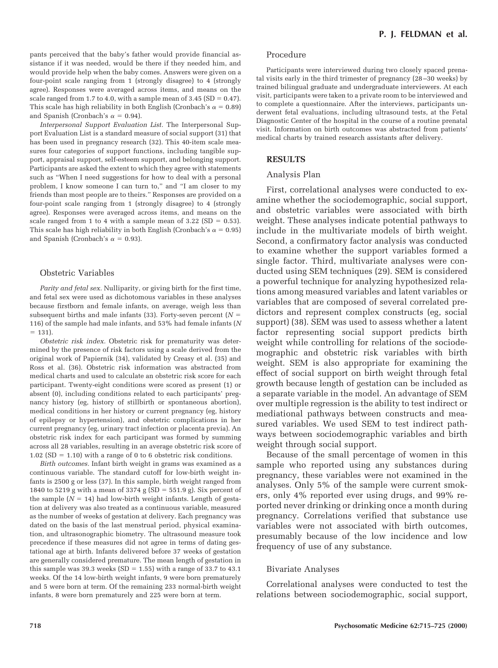pants perceived that the baby's father would provide financial assistance if it was needed, would be there if they needed him, and would provide help when the baby comes. Answers were given on a four-point scale ranging from 1 (strongly disagree) to 4 (strongly agree). Responses were averaged across items, and means on the scale ranged from 1.7 to 4.0, with a sample mean of  $3.45$  (SD = 0.47). This scale has high reliability in both English (Cronbach's  $\alpha = 0.89$ ) and Spanish (Cronbach's  $\alpha = 0.94$ ).

*Interpersonal Support Evaluation List.* The Interpersonal Support Evaluation List is a standard measure of social support (31) that has been used in pregnancy research (32). This 40-item scale measures four categories of support functions, including tangible support, appraisal support, self-esteem support, and belonging support. Participants are asked the extent to which they agree with statements such as "When I need suggestions for how to deal with a personal problem, I know someone I can turn to," and "I am closer to my friends than most people are to theirs." Responses are provided on a four-point scale ranging from 1 (strongly disagree) to 4 (strongly agree). Responses were averaged across items, and means on the scale ranged from 1 to 4 with a sample mean of  $3.22$  (SD = 0.53). This scale has high reliability in both English (Cronbach's  $\alpha = 0.95$ ) and Spanish (Cronbach's  $\alpha = 0.93$ ).

# Obstetric Variables

*Parity and fetal sex.* Nulliparity, or giving birth for the first time, and fetal sex were used as dichotomous variables in these analyses because firstborn and female infants, on average, weigh less than subsequent births and male infants (33). Forty-seven percent  $(N =$ 116) of the sample had male infants, and 53% had female infants (*N*  $= 131$ 

*Obstetric risk index.* Obstetric risk for prematurity was determined by the presence of risk factors using a scale derived from the original work of Papiernik (34), validated by Creasy et al. (35) and Ross et al. (36). Obstetric risk information was abstracted from medical charts and used to calculate an obstetric risk score for each participant. Twenty-eight conditions were scored as present (1) or absent (0), including conditions related to each participants' pregnancy history (eg, history of stillbirth or spontaneous abortion), medical conditions in her history or current pregnancy (eg, history of epilepsy or hypertension), and obstetric complications in her current pregnancy (eg, urinary tract infection or placenta previa). An obstetric risk index for each participant was formed by summing across all 28 variables, resulting in an average obstetric risk score of 1.02 (SD = 1.10) with a range of 0 to 6 obstetric risk conditions.

*Birth outcomes.* Infant birth weight in grams was examined as a continuous variable. The standard cutoff for low-birth weight infants is 2500 g or less (37). In this sample, birth weight ranged from 1840 to 5219 g with a mean of 3374 g (SD = 551.9 g). Six percent of the sample  $(N = 14)$  had low-birth weight infants. Length of gestation at delivery was also treated as a continuous variable, measured as the number of weeks of gestation at delivery. Each pregnancy was dated on the basis of the last menstrual period, physical examination, and ultrasonographic biometry. The ultrasound measure took precedence if these measures did not agree in terms of dating gestational age at birth. Infants delivered before 37 weeks of gestation are generally considered premature. The mean length of gestation in this sample was 39.3 weeks (SD =  $1.55$ ) with a range of 33.7 to 43.1 weeks. Of the 14 low-birth weight infants, 9 were born prematurely and 5 were born at term. Of the remaining 233 normal-birth weight infants, 8 were born prematurely and 225 were born at term.

#### Procedure

Participants were interviewed during two closely spaced prenatal visits early in the third trimester of pregnancy (28–30 weeks) by trained bilingual graduate and undergraduate interviewers. At each visit, participants were taken to a private room to be interviewed and to complete a questionnaire. After the interviews, participants underwent fetal evaluations, including ultrasound tests, at the Fetal Diagnostic Center of the hospital in the course of a routine prenatal visit. Information on birth outcomes was abstracted from patients' medical charts by trained research assistants after delivery.

#### **RESULTS**

#### Analysis Plan

First, correlational analyses were conducted to examine whether the sociodemographic, social support, and obstetric variables were associated with birth weight. These analyses indicate potential pathways to include in the multivariate models of birth weight. Second, a confirmatory factor analysis was conducted to examine whether the support variables formed a single factor. Third, multivariate analyses were conducted using SEM techniques (29). SEM is considered a powerful technique for analyzing hypothesized relations among measured variables and latent variables or variables that are composed of several correlated predictors and represent complex constructs (eg, social support) (38). SEM was used to assess whether a latent factor representing social support predicts birth weight while controlling for relations of the sociodemographic and obstetric risk variables with birth weight. SEM is also appropriate for examining the effect of social support on birth weight through fetal growth because length of gestation can be included as a separate variable in the model. An advantage of SEM over multiple regression is the ability to test indirect or mediational pathways between constructs and measured variables. We used SEM to test indirect pathways between sociodemographic variables and birth weight through social support.

Because of the small percentage of women in this sample who reported using any substances during pregnancy, these variables were not examined in the analyses. Only 5% of the sample were current smokers, only 4% reported ever using drugs, and 99% reported never drinking or drinking once a month during pregnancy. Correlations verified that substance use variables were not associated with birth outcomes, presumably because of the low incidence and low frequency of use of any substance.

#### Bivariate Analyses

Correlational analyses were conducted to test the relations between sociodemographic, social support,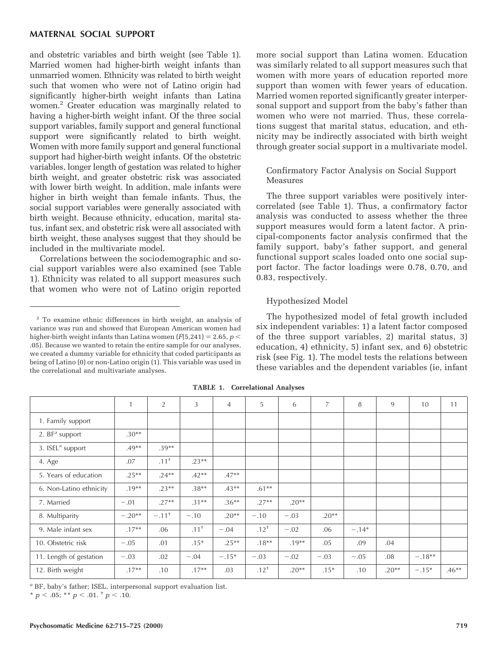## **MATERNAL SOCIAL SUPPORT**

and obstetric variables and birth weight (see Table 1). Married women had higher-birth weight infants than unmarried women. Ethnicity was related to birth weight such that women who were not of Latino origin had significantly higher-birth weight infants than Latina women.<sup>2</sup> Greater education was marginally related to having a higher-birth weight infant. Of the three social support variables, family support and general functional support were significantly related to birth weight. Women with more family support and general functional support had higher-birth weight infants. Of the obstetric variables, longer length of gestation was related to higher birth weight, and greater obstetric risk was associated with lower birth weight. In addition, male infants were higher in birth weight than female infants. Thus, the social support variables were generally associated with birth weight. Because ethnicity, education, marital status, infant sex, and obstetric risk were all associated with birth weight, these analyses suggest that they should be included in the multivariate model.

Correlations between the sociodemographic and social support variables were also examined (see Table 1). Ethnicity was related to all support measures such that women who were not of Latino origin reported more social support than Latina women. Education was similarly related to all support measures such that women with more years of education reported more support than women with fewer years of education. Married women reported significantly greater interpersonal support and support from the baby's father than women who were not married. Thus, these correlations suggest that marital status, education, and ethnicity may be indirectly associated with birth weight through greater social support in a multivariate model.

# Confirmatory Factor Analysis on Social Support Measures

The three support variables were positively intercorrelated (see Table 1). Thus, a confirmatory factor analysis was conducted to assess whether the three support measures would form a latent factor. A principal-components factor analysis confirmed that the family support, baby's father support, and general functional support scales loaded onto one social support factor. The factor loadings were 0.78, 0.70, and 0.83, respectively.

## Hypothesized Model

The hypothesized model of fetal growth included six independent variables: 1) a latent factor composed of the three support variables, 2) marital status, 3) education, 4) ethnicity, 5) infant sex, and 6) obstetric risk (see Fig. 1). The model tests the relations between these variables and the dependent variables (ie, infant

|                         | $\mathbf{1}$ | $\overline{2}$      | 3         | $\overline{4}$ | 5         | 6       | $\overline{7}$ | 8       | 9       | 10       | 11      |
|-------------------------|--------------|---------------------|-----------|----------------|-----------|---------|----------------|---------|---------|----------|---------|
| 1. Family support       |              |                     |           |                |           |         |                |         |         |          |         |
| 2. $BF^a$ support       | $.30**$      |                     |           |                |           |         |                |         |         |          |         |
| 3. ISEL $a$ support     | $.49**$      | $.39**$             |           |                |           |         |                |         |         |          |         |
| 4. Age                  | .07          | $.11^{+}$           | $.23**$   |                |           |         |                |         |         |          |         |
| 5. Years of education   | $.25**$      | $.24**$             | $.42**$   | $.47**$        |           |         |                |         |         |          |         |
| 6. Non-Latino ethnicity | $.19**$      | $.23**$             | $.38**$   | $.43**$        | $.61**$   |         |                |         |         |          |         |
| 7. Married              | $-.01$       | $.27**$             | $.31**$   | $.36***$       | $.27**$   | $.20**$ |                |         |         |          |         |
| 8. Multiparity          | $-.20**$     | $-.11$ <sup>+</sup> | $-.10$    | $.20**$        | $-.10$    | $-.03$  | $.20**$        |         |         |          |         |
| 9. Male infant sex      | $.17***$     | .06                 | $.11^{+}$ | $-.04$         | $.12^{+}$ | $-.02$  | .06            | $-.14*$ |         |          |         |
| 10. Obstetric risk      | $-.05$       | .01                 | $.15*$    | $.25***$       | $.18***$  | $.19**$ | .05            | .09     | .04     |          |         |
| 11. Length of gestation | $-.03$       | .02                 | $-.04$    | $-.15*$        | $-.03$    | $-.02$  | $-.03$         | $-.05$  | .08     | $-.18**$ |         |
| 12. Birth weight        | $.17**$      | .10                 | $.17***$  | .03            | $.12^{+}$ | $.20**$ | $.15*$         | .10     | $.20**$ | $-.15*$  | $.46**$ |

**TABLE 1. Correlational Analyses**

*<sup>a</sup>* BF, baby's father; ISEL, interpersonal support evaluation list.

 $*$  *p* < .05;  $*$  *k p* < .01. <sup>*t*</sup> *p* < .10.

<sup>2</sup> To examine ethnic differences in birth weight, an analysis of variance was run and showed that European American women had higher-birth weight infants than Latina women  $(F(5, 241) = 2.65, p <$ .05). Because we wanted to retain the entire sample for our analyses, we created a dummy variable for ethnicity that coded participants as being of Latino (0) or non-Latino origin (1). This variable was used in the correlational and multivariate analyses.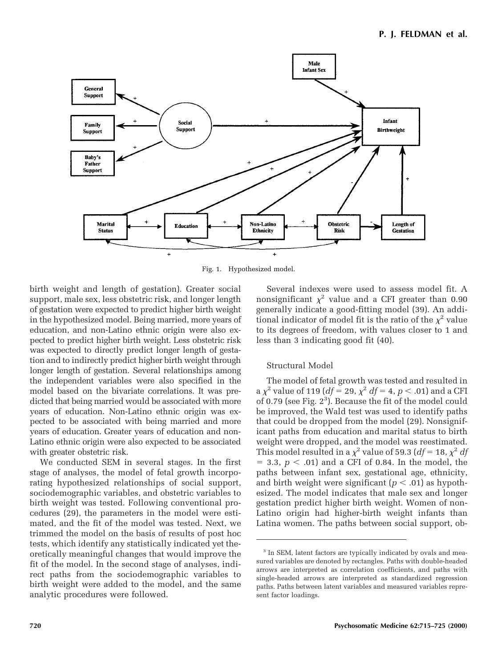

Fig. 1. Hypothesized model.

birth weight and length of gestation). Greater social support, male sex, less obstetric risk, and longer length of gestation were expected to predict higher birth weight in the hypothesized model. Being married, more years of education, and non-Latino ethnic origin were also expected to predict higher birth weight. Less obstetric risk was expected to directly predict longer length of gestation and to indirectly predict higher birth weight through longer length of gestation. Several relationships among the independent variables were also specified in the model based on the bivariate correlations. It was predicted that being married would be associated with more years of education. Non-Latino ethnic origin was expected to be associated with being married and more years of education. Greater years of education and non-Latino ethnic origin were also expected to be associated with greater obstetric risk.

We conducted SEM in several stages. In the first stage of analyses, the model of fetal growth incorporating hypothesized relationships of social support, sociodemographic variables, and obstetric variables to birth weight was tested. Following conventional procedures (29), the parameters in the model were estimated, and the fit of the model was tested. Next, we trimmed the model on the basis of results of post hoc tests, which identify any statistically indicated yet theoretically meaningful changes that would improve the fit of the model. In the second stage of analyses, indirect paths from the sociodemographic variables to birth weight were added to the model, and the same analytic procedures were followed.

Several indexes were used to assess model fit. A nonsignificant  $\chi^2$  value and a CFI greater than 0.90 generally indicate a good-fitting model (39). An additional indicator of model fit is the ratio of the  $\chi^2$  value to its degrees of freedom, with values closer to 1 and less than 3 indicating good fit (40).

# Structural Model

The model of fetal growth was tested and resulted in a  $\chi^2$  value of 119 (*df* = 29,  $\chi^2$  *df* = 4, *p* < .01) and a CFI of  $0.79$  (see Fig.  $2<sup>3</sup>$ ). Because the fit of the model could be improved, the Wald test was used to identify paths that could be dropped from the model (29). Nonsignificant paths from education and marital status to birth weight were dropped, and the model was reestimated. This model resulted in a  $\chi^2$  value of 59.3 ( $df = 18$ ,  $\chi^2 df$  $= 3.3, p < .01$  and a CFI of 0.84. In the model, the paths between infant sex, gestational age, ethnicity, and birth weight were significant  $(p < .01)$  as hypothesized. The model indicates that male sex and longer gestation predict higher birth weight. Women of non-Latino origin had higher-birth weight infants than Latina women. The paths between social support, ob-

<sup>&</sup>lt;sup>3</sup> In SEM, latent factors are typically indicated by ovals and measured variables are denoted by rectangles. Paths with double-headed arrows are interpreted as correlation coefficients, and paths with single-headed arrows are interpreted as standardized regression paths. Paths between latent variables and measured variables represent factor loadings.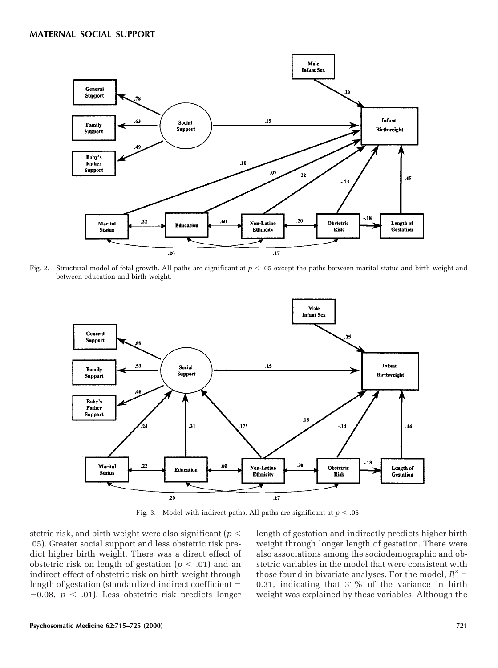

Fig. 2. Structural model of fetal growth. All paths are significant at  $p < .05$  except the paths between marital status and birth weight and between education and birth weight.



Fig. 3. Model with indirect paths. All paths are significant at  $p < .05$ .

stetric risk, and birth weight were also significant ( $p <$ .05). Greater social support and less obstetric risk predict higher birth weight. There was a direct effect of obstetric risk on length of gestation ( $p < .01$ ) and an indirect effect of obstetric risk on birth weight through length of gestation (standardized indirect coefficient  $=$  $-0.08$ ,  $p < .01$ ). Less obstetric risk predicts longer length of gestation and indirectly predicts higher birth weight through longer length of gestation. There were also associations among the sociodemographic and obstetric variables in the model that were consistent with those found in bivariate analyses. For the model,  $R^2 =$ 0.31, indicating that 31% of the variance in birth weight was explained by these variables. Although the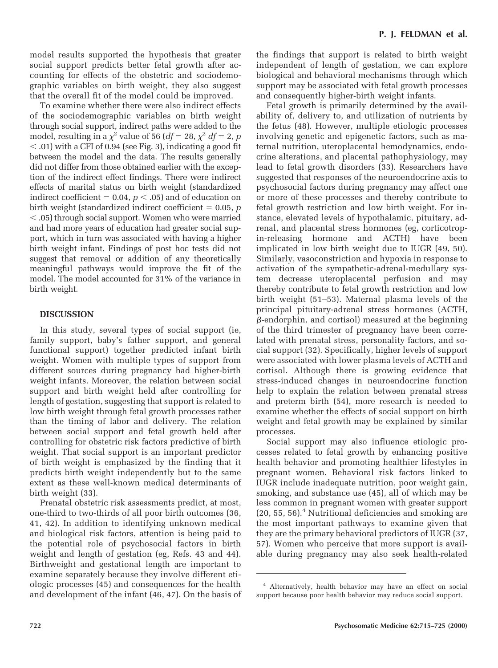model results supported the hypothesis that greater social support predicts better fetal growth after accounting for effects of the obstetric and sociodemographic variables on birth weight, they also suggest that the overall fit of the model could be improved.

To examine whether there were also indirect effects of the sociodemographic variables on birth weight through social support, indirect paths were added to the model, resulting in a  $\chi^2$  value of 56 ( $df = 28$ ,  $\chi^2 df = 2$ , *p*  $<$  .01) with a CFI of 0.94 (see Fig. 3), indicating a good fit between the model and the data. The results generally did not differ from those obtained earlier with the exception of the indirect effect findings. There were indirect effects of marital status on birth weight (standardized indirect coefficient =  $0.04$ ,  $p < .05$ ) and of education on birth weight (standardized indirect coefficient  $= 0.05$ , *p*  $<$  .05) through social support. Women who were married and had more years of education had greater social support, which in turn was associated with having a higher birth weight infant. Findings of post hoc tests did not suggest that removal or addition of any theoretically meaningful pathways would improve the fit of the model. The model accounted for 31% of the variance in birth weight.

# **DISCUSSION**

In this study, several types of social support (ie, family support, baby's father support, and general functional support) together predicted infant birth weight. Women with multiple types of support from different sources during pregnancy had higher-birth weight infants. Moreover, the relation between social support and birth weight held after controlling for length of gestation, suggesting that support is related to low birth weight through fetal growth processes rather than the timing of labor and delivery. The relation between social support and fetal growth held after controlling for obstetric risk factors predictive of birth weight. That social support is an important predictor of birth weight is emphasized by the finding that it predicts birth weight independently but to the same extent as these well-known medical determinants of birth weight (33).

Prenatal obstetric risk assessments predict, at most, one-third to two-thirds of all poor birth outcomes (36, 41, 42). In addition to identifying unknown medical and biological risk factors, attention is being paid to the potential role of psychosocial factors in birth weight and length of gestation (eg, Refs. 43 and 44). Birthweight and gestational length are important to examine separately because they involve different etiologic processes (45) and consequences for the health and development of the infant (46, 47). On the basis of the findings that support is related to birth weight independent of length of gestation, we can explore biological and behavioral mechanisms through which support may be associated with fetal growth processes and consequently higher-birth weight infants.

Fetal growth is primarily determined by the availability of, delivery to, and utilization of nutrients by the fetus (48). However, multiple etiologic processes involving genetic and epigenetic factors, such as maternal nutrition, uteroplacental hemodynamics, endocrine alterations, and placental pathophysiology, may lead to fetal growth disorders (33). Researchers have suggested that responses of the neuroendocrine axis to psychosocial factors during pregnancy may affect one or more of these processes and thereby contribute to fetal growth restriction and low birth weight. For instance, elevated levels of hypothalamic, pituitary, adrenal, and placental stress hormones (eg, corticotropin-releasing hormone and ACTH) have been implicated in low birth weight due to IUGR (49, 50). Similarly, vasoconstriction and hypoxia in response to activation of the sympathetic-adrenal-medullary system decrease uteroplacental perfusion and may thereby contribute to fetal growth restriction and low birth weight (51–53). Maternal plasma levels of the principal pituitary-adrenal stress hormones (ACTH, b-endorphin, and cortisol) measured at the beginning of the third trimester of pregnancy have been correlated with prenatal stress, personality factors, and social support (32). Specifically, higher levels of support were associated with lower plasma levels of ACTH and cortisol. Although there is growing evidence that stress-induced changes in neuroendocrine function help to explain the relation between prenatal stress and preterm birth (54), more research is needed to examine whether the effects of social support on birth weight and fetal growth may be explained by similar processes.

Social support may also influence etiologic processes related to fetal growth by enhancing positive health behavior and promoting healthier lifestyles in pregnant women. Behavioral risk factors linked to IUGR include inadequate nutrition, poor weight gain, smoking, and substance use (45), all of which may be less common in pregnant women with greater support  $(20, 55, 56)$ .<sup>4</sup> Nutritional deficiencies and smoking are the most important pathways to examine given that they are the primary behavioral predictors of IUGR (37, 57). Women who perceive that more support is available during pregnancy may also seek health-related

<sup>4</sup> Alternatively, health behavior may have an effect on social support because poor health behavior may reduce social support.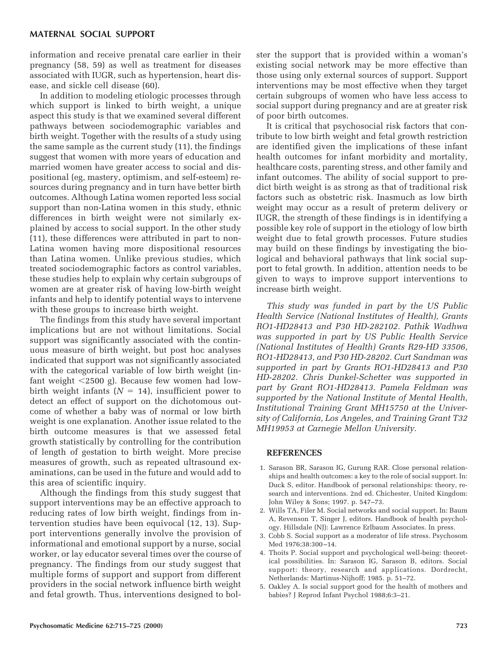information and receive prenatal care earlier in their pregnancy (58, 59) as well as treatment for diseases associated with IUGR, such as hypertension, heart disease, and sickle cell disease (60).

In addition to modeling etiologic processes through which support is linked to birth weight, a unique aspect this study is that we examined several different pathways between sociodemographic variables and birth weight. Together with the results of a study using the same sample as the current study (11), the findings suggest that women with more years of education and married women have greater access to social and dispositional (eg, mastery, optimism, and self-esteem) resources during pregnancy and in turn have better birth outcomes. Although Latina women reported less social support than non-Latina women in this study, ethnic differences in birth weight were not similarly explained by access to social support. In the other study (11), these differences were attributed in part to non-Latina women having more dispositional resources than Latina women. Unlike previous studies, which treated sociodemographic factors as control variables, these studies help to explain why certain subgroups of women are at greater risk of having low-birth weight infants and help to identify potential ways to intervene with these groups to increase birth weight.

The findings from this study have several important implications but are not without limitations. Social support was significantly associated with the continuous measure of birth weight, but post hoc analyses indicated that support was not significantly associated with the categorical variable of low birth weight (infant weight  $\leq$ 2500 g). Because few women had lowbirth weight infants  $(N = 14)$ , insufficient power to detect an effect of support on the dichotomous outcome of whether a baby was of normal or low birth weight is one explanation. Another issue related to the birth outcome measures is that we assessed fetal growth statistically by controlling for the contribution of length of gestation to birth weight. More precise measures of growth, such as repeated ultrasound examinations, can be used in the future and would add to this area of scientific inquiry.

Although the findings from this study suggest that support interventions may be an effective approach to reducing rates of low birth weight, findings from intervention studies have been equivocal (12, 13). Support interventions generally involve the provision of informational and emotional support by a nurse, social worker, or lay educator several times over the course of pregnancy. The findings from our study suggest that multiple forms of support and support from different providers in the social network influence birth weight and fetal growth. Thus, interventions designed to bolster the support that is provided within a woman's existing social network may be more effective than those using only external sources of support. Support interventions may be most effective when they target certain subgroups of women who have less access to social support during pregnancy and are at greater risk of poor birth outcomes.

It is critical that psychosocial risk factors that contribute to low birth weight and fetal growth restriction are identified given the implications of these infant health outcomes for infant morbidity and mortality, healthcare costs, parenting stress, and other family and infant outcomes. The ability of social support to predict birth weight is as strong as that of traditional risk factors such as obstetric risk. Inasmuch as low birth weight may occur as a result of preterm delivery or IUGR, the strength of these findings is in identifying a possible key role of support in the etiology of low birth weight due to fetal growth processes. Future studies may build on these findings by investigating the biological and behavioral pathways that link social support to fetal growth. In addition, attention needs to be given to ways to improve support interventions to increase birth weight.

*This study was funded in part by the US Public Health Service (National Institutes of Health), Grants RO1-HD28413 and P30 HD-282102. Pathik Wadhwa was supported in part by US Public Health Service (National Institutes of Health) Grants R29-HD 33506, RO1-HD28413, and P30 HD-28202. Curt Sandman was supported in part by Grants RO1-HD28413 and P30 HD-28202. Chris Dunkel-Schetter was supported in part by Grant RO1-HD28413. Pamela Feldman was supported by the National Institute of Mental Health, Institutional Training Grant MH15750 at the University of California, Los Angeles, and Training Grant T32 MH19953 at Carnegie Mellon University.*

#### **REFERENCES**

- 1. Sarason BR, Sarason IG, Gurung RAR. Close personal relationships and health outcomes: a key to the role of social support. In: Duck S, editor. Handbook of personal relationships: theory, research and interventions. 2nd ed. Chichester, United Kingdom: John Wiley & Sons; 1997. p. 547–73.
- 2. Wills TA, Filer M. Social networks and social support. In: Baum A, Revenson T, Singer J, editors. Handbook of health psychology. Hillsdale (NJ): Lawrence Erlbaum Associates. In press.
- 3. Cobb S. Social support as a moderator of life stress. Psychosom Med 1976;38:300–14.
- 4. Thoits P. Social support and psychological well-being: theoretical possibilities. In: Sarason IG, Sarason B, editors. Social support: theory, research and applications. Dordrecht, Netherlands: Martinus-Nijhoff; 1985. p. 51–72.
- 5. Oakley A. Is social support good for the health of mothers and babies? J Reprod Infant Psychol 1988;6:3–21.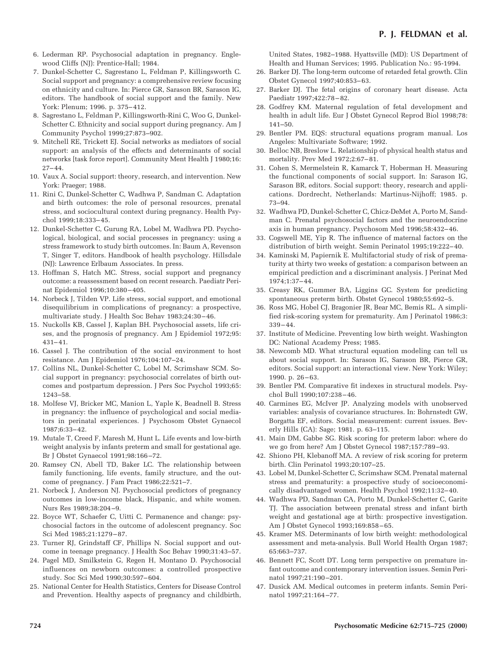- 6. Lederman RP. Psychosocial adaptation in pregnancy. Englewood Cliffs (NJ): Prentice-Hall; 1984.
- 7. Dunkel-Schetter C, Sagrestano L, Feldman P, Killingsworth C. Social support and pregnancy: a comprehensive review focusing on ethnicity and culture. In: Pierce GR, Sarason BR, Sarason IG, editors. The handbook of social support and the family. New York: Plenum; 1996. p. 375–412.
- 8. Sagrestano L, Feldman P, Killingsworth-Rini C, Woo G, Dunkel-Schetter C. Ethnicity and social support during pregnancy. Am J Community Psychol 1999;27:873–902.
- 9. Mitchell RE, Trickett EJ. Social networks as mediators of social support: an analysis of the effects and determinants of social networks [task force report]. Community Ment Health J 1980;16:  $27 - 44.$
- 10. Vaux A. Social support: theory, research, and intervention. New York: Praeger; 1988.
- 11. Rini C, Dunkel-Schetter C, Wadhwa P, Sandman C. Adaptation and birth outcomes: the role of personal resources, prenatal stress, and sociocultural context during pregnancy. Health Psychol 1999;18:333–45.
- 12. Dunkel-Schetter C, Gurung RA, Lobel M, Wadhwa PD. Psychological, biological, and social processes in pregnancy: using a stress framework to study birth outcomes. In: Baum A, Revenson T, Singer T, editors. Handbook of health psychology. Hillsdale (NJ): Lawrence Erlbaum Associates. In press.
- 13. Hoffman S, Hatch MC. Stress, social support and pregnancy outcome: a reassessment based on recent research. Paediatr Perinat Epidemiol 1996;10:380–405.
- 14. Norbeck J, Tilden VP. Life stress, social support, and emotional disequilibrium in complications of pregnancy: a prospective, multivariate study. J Health Soc Behav 1983;24:30–46.
- 15. Nuckolls KB, Cassel J, Kaplan BH. Psychosocial assets, life crises, and the prognosis of pregnancy. Am J Epidemiol 1972;95: 431–41.
- 16. Cassel J. The contribution of the social environment to host resistance. Am J Epidemiol 1976;104:107–24.
- 17. Collins NL, Dunkel-Schetter C, Lobel M, Scrimshaw SCM. Social support in pregnancy: psychosocial correlates of birth outcomes and postpartum depression. J Pers Soc Psychol 1993;65: 1243–58.
- 18. Molfese VJ, Bricker MC, Manion L, Yaple K, Beadnell B. Stress in pregnancy: the influence of psychological and social mediators in perinatal experiences. J Psychosom Obstet Gynaecol 1987;6:33–42.
- 19. Mutale T, Creed F, Maresh M, Hunt L. Life events and low-birth weight analysis by infants preterm and small for gestational age. Br J Obstet Gynaecol 1991;98:166–72.
- 20. Ramsey CN, Abell TD, Baker LC. The relationship between family functioning, life events, family structure, and the outcome of pregnancy. J Fam Pract 1986;22:521–7.
- 21. Norbeck J, Anderson NJ. Psychosocial predictors of pregnancy outcomes in low-income black, Hispanic, and white women. Nurs Res 1989;38:204–9.
- 22. Boyce WT, Schaefer C, Uitti C. Permanence and change: psychosocial factors in the outcome of adolescent pregnancy. Soc Sci Med 1985;21:1279–87.
- 23. Turner RJ, Grindstaff CF, Phillips N. Social support and outcome in teenage pregnancy. J Health Soc Behav 1990;31:43–57.
- 24. Pagel MD, Smilkstein G, Regen H, Montano D. Psychosocial influences on newborn outcomes: a controlled prospective study. Soc Sci Med 1990;30:597–604.
- 25. National Center for Health Statistics, Centers for Disease Control and Prevention. Healthy aspects of pregnancy and childbirth,

United States, 1982–1988. Hyattsville (MD): US Department of Health and Human Services; 1995. Publication No.: 95-1994.

- 26. Barker DJ. The long-term outcome of retarded fetal growth. Clin Obstet Gynecol 1997;40:853–63.
- 27. Barker DJ. The fetal origins of coronary heart disease. Acta Paediatr 1997;422:78–82.
- 28. Godfrey KM. Maternal regulation of fetal development and health in adult life. Eur J Obstet Gynecol Reprod Biol 1998;78: 141–50.
- 29. Bentler PM. EQS: structural equations program manual. Los Angeles: Multivariate Software; 1992.
- 30. Belloc NB, Breslow L. Relationship of physical health status and mortality. Prev Med 1972;2:67–81.
- 31. Cohen S, Mermelstein R, Kamarck T, Hoberman H. Measuring the functional components of social support. In: Sarason IG, Sarason BR, editors. Social support: theory, research and applications. Dordrecht, Netherlands: Martinus-Nijhoff; 1985. p. 73–94.
- 32. Wadhwa PD, Dunkel-Schetter C, Chicz-DeMet A, Porto M, Sandman C. Prenatal psychosocial factors and the neuroendocrine axis in human pregnancy. Psychosom Med 1996;58:432–46.
- 33. Cogswell ME, Yip R. The influence of maternal factors on the distribution of birth weight. Semin Perinatol 1995;19:222–40.
- 34. Kaminski M, Papiernik E. Multifactorial study of risk of prematurity at thirty two weeks of gestation: a comparison between an empirical prediction and a discriminant analysis. J Perinat Med 1974;1:37–44.
- 35. Creasy RK, Gummer BA, Liggins GC. System for predicting spontaneous preterm birth. Obstet Gynecol 1980;55:692–5.
- 36. Ross MG, Hobel CJ, Bragonier JR, Bear MC, Bemis RL. A simplified risk-scoring system for prematurity. Am J Perinatol 1986;3: 339–44.
- 37. Institute of Medicine. Preventing low birth weight. Washington DC: National Academy Press; 1985.
- 38. Newcomb MD. What structural equation modeling can tell us about social support. In: Sarason IG, Sarason BR, Pierce GR, editors. Social support: an interactional view. New York: Wiley; 1990. p. 26–63.
- 39. Bentler PM. Comparative fit indexes in structural models. Psychol Bull 1990;107:238–46.
- 40. Carmines EG, McIver JP. Analyzing models with unobserved variables: analysis of covariance structures. In: Bohrnstedt GW, Borgatta EF, editors. Social measurement: current issues. Beverly Hills (CA): Sage; 1981. p. 63–115.
- 41. Main DM, Gabbe SG. Risk scoring for preterm labor: where do we go from here? Am J Obstet Gynecol 1987;157:789–93.
- 42. Shiono PH, Klebanoff MA. A review of risk scoring for preterm birth. Clin Perinatol 1993;20:107–25.
- 43. Lobel M, Dunkel-Schetter C, Scrimshaw SCM. Prenatal maternal stress and prematurity: a prospective study of socioeconomically disadvantaged women. Health Psychol 1992;11:32–40.
- 44. Wadhwa PD, Sandman CA, Porto M, Dunkel-Schetter C, Garite TJ. The association between prenatal stress and infant birth weight and gestational age at birth: prospective investigation. Am J Obstet Gynecol 1993;169:858–65.
- 45. Kramer MS. Determinants of low birth weight: methodological assessment and meta-analysis. Bull World Health Organ 1987; 65:663–737.
- 46. Bennett FC, Scott DT. Long term perspective on premature infant outcome and contemporary intervention issues. Semin Perinatol 1997;21:190–201.
- 47. Dusick AM. Medical outcomes in preterm infants. Semin Perinatol 1997;21:164–77.